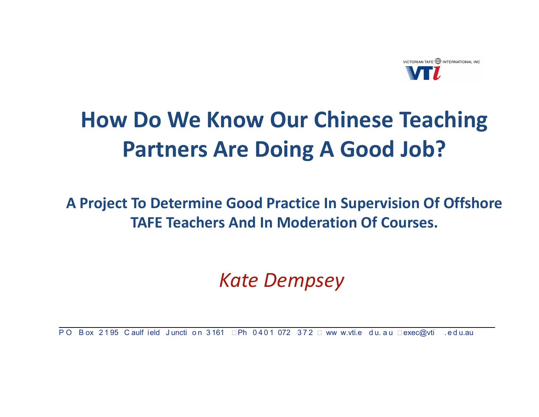

### **How Do We Know Our Chinese Teaching Partners Are Doing A Good Job?**

#### A Project To Determine Good Practice In Supervision Of Offshore **TAFE Teachers And In Moderation Of Courses.**

#### **Kate Dempsey**

PO Box 2195 Caulf ield Juncti on 3161 Ph 0401 072 372 ww w.vti.e du. au exec@vti Led u.au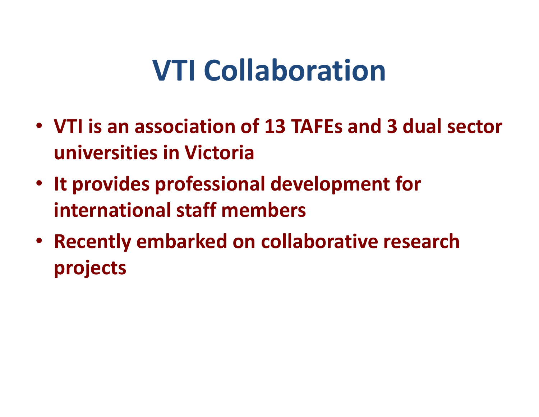## VTI Collaboration

- VTI is an association of 13 TAFEs and 3 dual sectoruniversities in Victoria
- It provides professional development for international staff members
- Recently embarked on collaborative research projects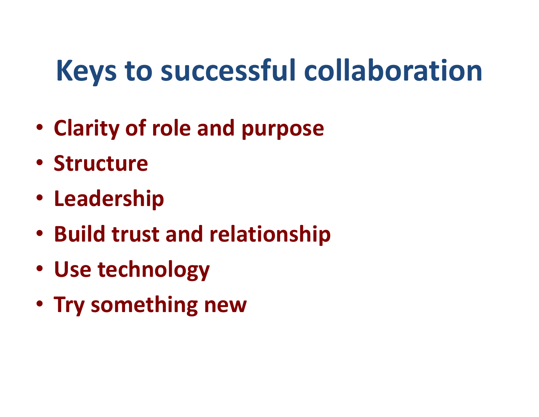# Keys to successful collaboration

- Clarity of role and purpose
- Structure
- Leadership
- Build trust and relationship
- Use technology
- Try something new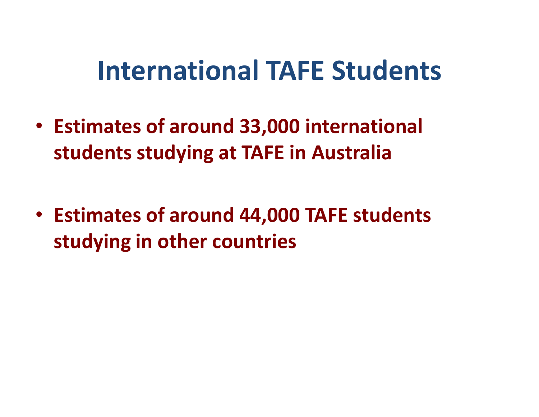## International TAFE Students

- Estimates of around 33,000 international students studying at TAFE in Australia
- Estimates of around 44,000 TAFE students studying in other countries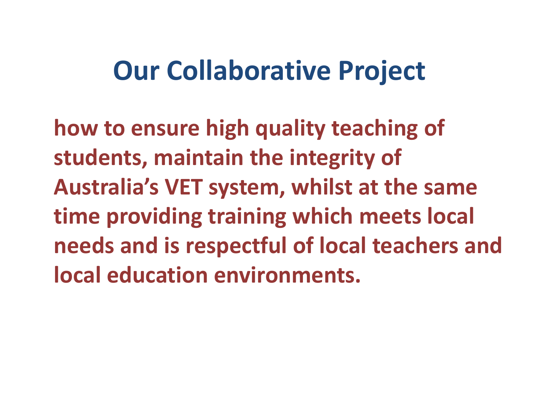## Our Collaborative Project

how to ensure high quality teaching of students, maintain the integrity of Australia's VET system, whilst at the same time providing training which meets local needs and is respectful of local teachers and local education environments.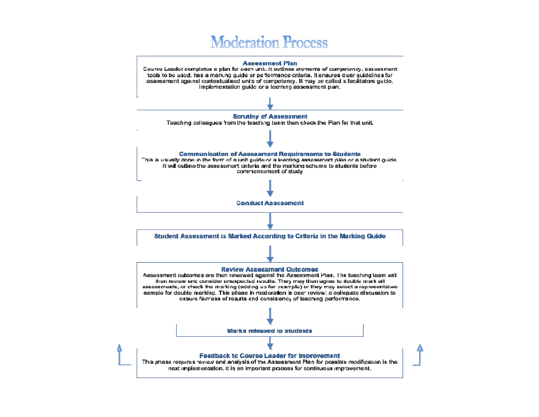

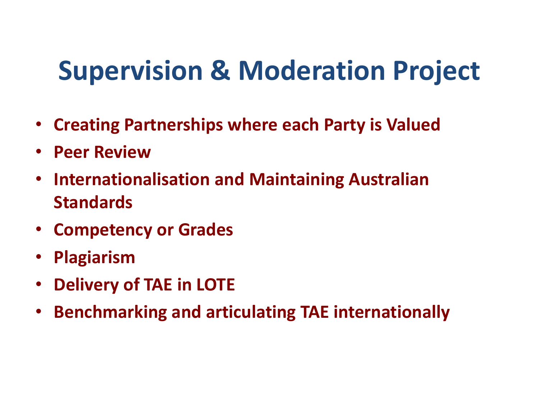## Supervision & Moderation Project

- Creating Partnerships where each Party is Valued
- Peer Review
- Internationalisation and Maintaining Australian **Standards**
- Competency or Grades
- •Plagiarism
- Delivery of TAE in LOTE  $\bullet$
- •Benchmarking and articulating TAE internationally